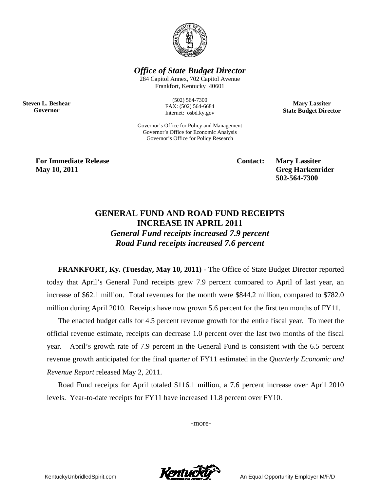

*Office of State Budget Director* 

284 Capitol Annex, 702 Capitol Avenue Frankfort, Kentucky 40601

> (502) 564-7300 FAX: (502) 564-6684 Internet: osbd.ky.gov

Governor's Office for Policy and Management Governor's Office for Economic Analysis Governor's Office for Policy Research

**Mary Lassiter State Budget Director** 

**For Immediate Release Contact: Mary Lassiter May 10, 2011** Greg Harkenrider **Greg Harkenrider Greg Harkenrider Greg Harkenrider** 

**Steven L. Beshear Governor** 

 **502-564-7300** 

## **GENERAL FUND AND ROAD FUND RECEIPTS INCREASE IN APRIL 2011**  *General Fund receipts increased 7.9 percent Road Fund receipts increased 7.6 percent*

**FRANKFORT, Ky. (Tuesday, May 10, 2011)** - The Office of State Budget Director reported today that April's General Fund receipts grew 7.9 percent compared to April of last year, an increase of \$62.1 million. Total revenues for the month were \$844.2 million, compared to \$782.0 million during April 2010. Receipts have now grown 5.6 percent for the first ten months of FY11.

The enacted budget calls for 4.5 percent revenue growth for the entire fiscal year. To meet the official revenue estimate, receipts can decrease 1.0 percent over the last two months of the fiscal year. April's growth rate of 7.9 percent in the General Fund is consistent with the 6.5 percent revenue growth anticipated for the final quarter of FY11 estimated in the *Quarterly Economic and Revenue Report* released May 2, 2011.

Road Fund receipts for April totaled \$116.1 million, a 7.6 percent increase over April 2010 levels. Year-to-date receipts for FY11 have increased 11.8 percent over FY10.

-more-

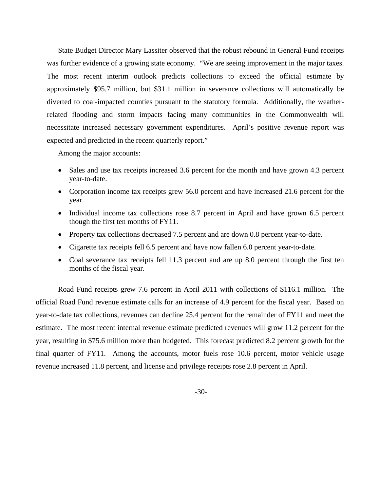State Budget Director Mary Lassiter observed that the robust rebound in General Fund receipts was further evidence of a growing state economy. "We are seeing improvement in the major taxes. The most recent interim outlook predicts collections to exceed the official estimate by approximately \$95.7 million, but \$31.1 million in severance collections will automatically be diverted to coal-impacted counties pursuant to the statutory formula. Additionally, the weatherrelated flooding and storm impacts facing many communities in the Commonwealth will necessitate increased necessary government expenditures. April's positive revenue report was expected and predicted in the recent quarterly report."

Among the major accounts:

- Sales and use tax receipts increased 3.6 percent for the month and have grown 4.3 percent year-to-date.
- Corporation income tax receipts grew 56.0 percent and have increased 21.6 percent for the year.
- Individual income tax collections rose 8.7 percent in April and have grown 6.5 percent though the first ten months of FY11.
- Property tax collections decreased 7.5 percent and are down 0.8 percent year-to-date.
- Cigarette tax receipts fell 6.5 percent and have now fallen 6.0 percent year-to-date.
- Coal severance tax receipts fell 11.3 percent and are up 8.0 percent through the first ten months of the fiscal year.

Road Fund receipts grew 7.6 percent in April 2011 with collections of \$116.1 million. The official Road Fund revenue estimate calls for an increase of 4.9 percent for the fiscal year. Based on year-to-date tax collections, revenues can decline 25.4 percent for the remainder of FY11 and meet the estimate. The most recent internal revenue estimate predicted revenues will grow 11.2 percent for the year, resulting in \$75.6 million more than budgeted. This forecast predicted 8.2 percent growth for the final quarter of FY11. Among the accounts, motor fuels rose 10.6 percent, motor vehicle usage revenue increased 11.8 percent, and license and privilege receipts rose 2.8 percent in April.

-30-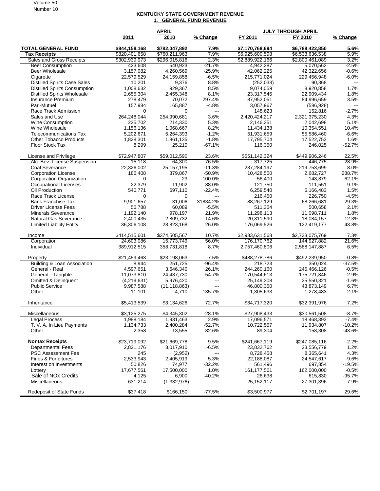## Volume 50 Number 10

## **KENTUCKY STATE GOVERNMENT REVENUE 1. GENERAL FUND REVENUE**

|                                                  | <b>APRIL</b>                   |                                |                          | <b>JULY THROUGH APRIL</b>          |                                    |                          |  |
|--------------------------------------------------|--------------------------------|--------------------------------|--------------------------|------------------------------------|------------------------------------|--------------------------|--|
|                                                  | 2011                           | 2010                           | % Change                 | FY 2011                            | FY 2010                            | % Change                 |  |
| <b>TOTAL GENERAL FUND</b><br><b>Tax Receipts</b> | \$844,158,168<br>\$820,401,658 | \$782,047,892<br>\$760,211,963 | 7.9%<br>7.9%             | \$7.170.768.694<br>\$6,925,600,598 | \$6,788,422,850<br>\$6,538,636,538 | 5.6%<br>5.9%             |  |
| Sales and Gross Receipts                         | \$302,939,973                  | \$296,015,816                  | 2.3%                     | \$2,889,922,166                    | \$2,800,461,089                    | 3.2%                     |  |
| <b>Beer Consumption</b>                          | 423,608                        | 540,923                        | $-21.7%$                 | 4,942,287                          | 5,070,562                          | $-2.5%$                  |  |
| <b>Beer Wholesale</b>                            | 3,157,082                      | 4,260,569                      | $-25.9%$                 | 42,062,225                         | 42,322,656                         | $-0.6%$                  |  |
| Cigarette                                        | 22,579,529                     | 24,159,858                     | $-6.5%$                  | 215,771,024                        | 229,456,948                        | $-6.0\%$                 |  |
| <b>Distilled Spirits Case Sales</b>              | 10,201                         | 9,376                          | 8.8%                     | (252, 033)                         | 90,368                             | $--$                     |  |
| <b>Distilled Spirits Consumption</b>             | 1,008,632                      | 929,367                        | 8.5%                     | 9,074,059                          | 8,920,858                          | 1.7%                     |  |
| <b>Distilled Spirits Wholesale</b>               | 2,655,304                      | 2,455,348                      | 8.1%                     | 23,317,545                         | 22,909,434                         | 1.8%                     |  |
| Insurance Premium                                | 278,479                        | 70,072                         | 297.4%                   | 87,952,051                         | 84,996,659                         | 3.5%                     |  |
| Pari-Mutuel                                      | 157,984                        | 165,887                        | $-4.8%$                  | 3,057,967                          | (586, 928)                         | $\overline{\phantom{a}}$ |  |
| Race Track Admission                             | $\Omega$                       | $\Omega$                       | $---$                    | 148,623                            | 152,816                            | $-2.7%$                  |  |
| Sales and Use                                    | 264,248,044                    | 254,990,681                    | 3.6%                     | 2,420,424,217                      | 2,321,375,230                      | 4.3%                     |  |
| Wine Consumption                                 | 225,702                        | 214,330                        | 5.3%                     | 2,146,351                          | 2,042,698                          | 5.1%                     |  |
| Wine Wholesale                                   | 1,156,136                      | 1,068,667                      | 8.2%                     | 11,434,138                         | 10,354,551                         | 10.4%                    |  |
| <b>Telecommunications Tax</b>                    | 5,202,671                      | 5,264,393                      | $-1.2%$                  | 51,931,659                         | 55,586,460                         | $-6.6%$                  |  |
| <b>Other Tobacco Products</b>                    | 1,828,301                      | 1,861,135                      | $-1.8%$                  | 17,795,704                         | 17,522,753                         | 1.6%                     |  |
| <b>Floor Stock Tax</b>                           | 8,299                          | 25,210                         | $-67.1%$                 | 116,350                            | 246,025                            | $-52.7%$                 |  |
| License and Privilege                            | \$72.947.807                   | \$59,012,590                   | 23.6%                    | \$551,142,324                      | \$449,906,246                      | 22.5%                    |  |
| Alc. Bev. License Suspension                     | 15,118                         | 64,300                         | $-76.5%$                 | 317.725                            | 446,775                            | $-28.9%$                 |  |
| Coal Severance                                   | 22,326,002                     | 25,157,195                     | $-11.3%$                 | 237,284,197                        | 219,753,699                        | 8.0%                     |  |
| <b>Corporation License</b>                       | 186,408                        | 379,867                        | $-50.9%$                 | 10,428,550                         | 2,682,727                          | 288.7%                   |  |
| Corporation Organization                         | 0                              | 23                             | $-100.0%$                | 56,400                             | 148,879                            | $-62.1%$                 |  |
| <b>Occupational Licenses</b>                     | 22,379                         | 11,902                         | 88.0%                    | 121,750                            | 111,551                            | 9.1%                     |  |
| Oil Production                                   | 540,771                        | 697,110                        | $-22.4%$                 | 6,259,540                          | 6,166,483                          | 1.5%                     |  |
| Race Track License                               | 0                              | 0                              | $---$                    | 216,450                            | 226,750                            | $-4.5%$                  |  |
| <b>Bank Franchise Tax</b>                        | 9.901.657                      | 31,006                         | 31834.2%                 | 88,267,129                         | 68,266,681                         | 29.3%                    |  |
| Driver License Fees                              | 56,788                         | 60.089                         | $-5.5%$                  | 511,354                            | 500,658                            | 2.1%                     |  |
| <b>Minerals Severance</b>                        | 1,192,140                      | 978,197                        | 21.9%                    | 11,298,113                         | 11,098,711                         | 1.8%                     |  |
| Natural Gas Severance                            | 2,400,435                      | 2,809,732                      | $-14.6%$                 | 20,311,590                         | 18,084,157                         | 12.3%                    |  |
| <b>Limited Liability Entity</b>                  | 36,306,108                     | 28,823,168                     | 26.0%                    | 176,069,526                        | 122,419,177                        | 43.8%                    |  |
| Income                                           | \$414,515,601                  | \$374,505,567                  | 10.7%                    | \$2,933,631,568                    | \$2,733,075,769<br>144,927,882     | 7.3%                     |  |
| Corporation                                      | 24,603,086                     | 15,773,749                     | 56.0%                    | 176,170,762                        |                                    | 21.6%                    |  |
| Individual                                       | 389,912,515                    | 358,731,818                    | 8.7%                     | 2,757,460,806                      | 2,588,147,887                      | 6.5%                     |  |
| Property                                         | \$21,459,463                   | \$23,198,063                   | $-7.5%$                  | \$488,278,786                      | \$492,239,950                      | $-0.8\%$                 |  |
| Building & Loan Association                      | 8,944                          | 251,725                        | $-96.4%$                 | 218,723                            | 350,024                            | $-37.5%$                 |  |
| General - Real                                   | 4,597,651                      | 3,646,340                      | 26.1%                    | 244,260,160                        | 245,466,126                        | $-0.5%$                  |  |
| General - Tangible                               | 11,073,810                     | 24,437,730                     | $-54.7%$                 | 170,544,613                        | 175,721,846                        | $-2.9%$                  |  |
| <b>Omitted &amp; Delinquent</b>                  | (4,219,631)                    | 5,976,420                      | $---$                    | 25,149,308                         | 25,550,321                         | $-1.6%$                  |  |
| <b>Public Service</b>                            | 9,987,588                      | (11, 118, 863)                 | $\overline{\phantom{a}}$ | 46,800,350                         | 43,873,149                         | 6.7%                     |  |
| Other                                            | 11,101                         | 4,710                          | 135.7%                   | 1,305,633                          | 1,278,483                          | 2.1%                     |  |
| Inheritance                                      | \$5,413,539                    | \$3,134,626                    | 72.7%                    | \$34,717,320                       | \$32,391,976                       | 7.2%                     |  |
| Miscellaneous                                    | \$3,125,275                    | \$4,345,302                    | $-28.1%$                 | \$27,908,433                       | \$30,561,508                       | $-8.7\%$                 |  |
| <b>Legal Process</b>                             | 1,988,184                      | 1,931,463                      | 2.9%                     | 17,096,571                         | 18,468,393                         | -7.4%                    |  |
| T. V. A. In Lieu Payments<br>Other               | 1,134,733<br>2,358             | 2,400,284<br>13,555            | $-52.7%$<br>$-82.6%$     | 10,722,557<br>89,304               | 11,934,807<br>158,308              | $-10.2%$<br>$-43.6%$     |  |
| <b>Nontax Receipts</b>                           | \$23,719,092                   | \$21,669,778                   | 9.5%                     | \$241,667,119                      | \$247,085,116                      | $-2.2%$                  |  |
| <b>Departmental Fees</b>                         | 2,821,176                      | 3,017,910                      | $-6.5%$                  | 23,832,762                         | 23,556,779                         | 1.2%                     |  |
| PSC Assessment Fee                               | 245                            | (2,952)                        | $\scriptstyle \cdots$    | 8,728,458                          | 8,365,641                          | 4.3%                     |  |
| Fines & Forfeitures                              | 2,533,943                      | 2,405,919                      | 5.3%                     | 22,188,087                         | 24,547,617                         | $-9.6%$                  |  |
| Interest on Investments                          | 50,826                         | 74,977                         | $-32.2%$                 | 561,496                            | 697,854                            | -19.5%                   |  |
| Lottery                                          | 17,677,561                     | 17,500,000                     | 1.0%                     | 161, 177, 561                      | 162,000,000                        | $-0.5%$                  |  |
| Sale of NOx Credits                              | 4,125                          | 6,900                          | $-40.2%$                 | 26,638                             | 615,830                            | $-95.7%$                 |  |
| Miscellaneous                                    | 631,214                        | (1,332,976)                    | ---                      | 25, 152, 117                       | 27,301,396                         | $-7.9%$                  |  |
| Redeposit of State Funds                         | \$37,418                       | \$166,150                      | $-77.5%$                 | \$3,500,977                        | \$2,701,197                        | 29.6%                    |  |